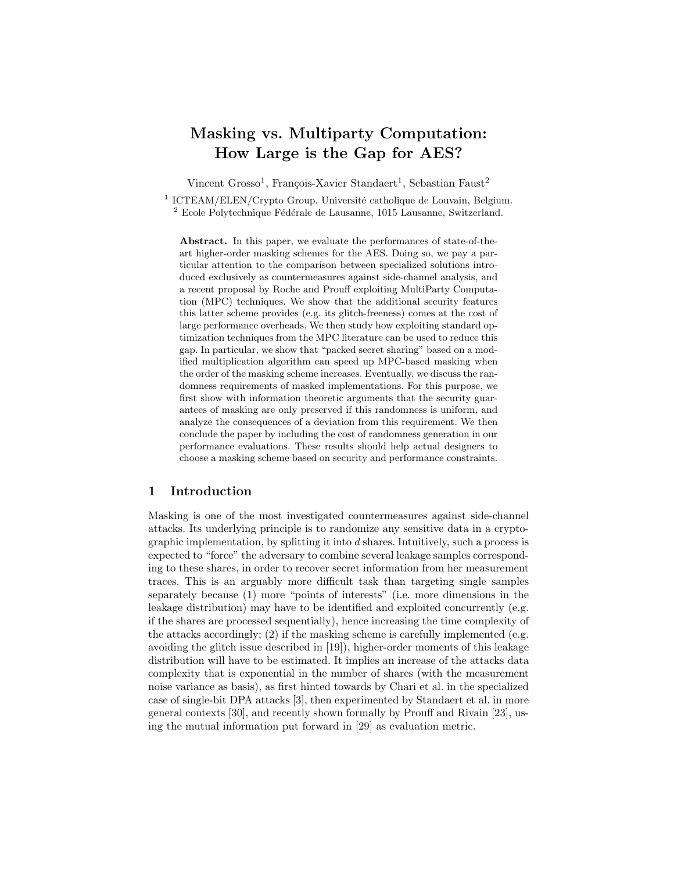# Masking vs. Multiparty Computation: How Large is the Gap for AES?

Vincent Grosso<sup>1</sup>, François-Xavier Standaert<sup>1</sup>, Sebastian Faust<sup>2</sup>

<sup>1</sup> ICTEAM/ELEN/Crypto Group, Université catholique de Louvain, Belgium.  $2$  Ecole Polytechnique Fédérale de Lausanne, 1015 Lausanne, Switzerland.

Abstract. In this paper, we evaluate the performances of state-of-theart higher-order masking schemes for the AES. Doing so, we pay a particular attention to the comparison between specialized solutions introduced exclusively as countermeasures against side-channel analysis, and a recent proposal by Roche and Prouff exploiting MultiParty Computation (MPC) techniques. We show that the additional security features this latter scheme provides (e.g. its glitch-freeness) comes at the cost of large performance overheads. We then study how exploiting standard optimization techniques from the MPC literature can be used to reduce this gap. In particular, we show that "packed secret sharing" based on a modified multiplication algorithm can speed up MPC-based masking when the order of the masking scheme increases. Eventually, we discuss the randomness requirements of masked implementations. For this purpose, we first show with information theoretic arguments that the security guarantees of masking are only preserved if this randomness is uniform, and analyze the consequences of a deviation from this requirement. We then conclude the paper by including the cost of randomness generation in our performance evaluations. These results should help actual designers to choose a masking scheme based on security and performance constraints.

#### 1 Introduction

Masking is one of the most investigated countermeasures against side-channel attacks. Its underlying principle is to randomize any sensitive data in a cryptographic implementation, by splitting it into  $d$  shares. Intuitively, such a process is expected to "force" the adversary to combine several leakage samples corresponding to these shares, in order to recover secret information from her measurement traces. This is an arguably more difficult task than targeting single samples separately because (1) more "points of interests" (i.e. more dimensions in the leakage distribution) may have to be identified and exploited concurrently (e.g. if the shares are processed sequentially), hence increasing the time complexity of the attacks accordingly; (2) if the masking scheme is carefully implemented (e.g. avoiding the glitch issue described in [19]), higher-order moments of this leakage distribution will have to be estimated. It implies an increase of the attacks data complexity that is exponential in the number of shares (with the measurement noise variance as basis), as first hinted towards by Chari et al. in the specialized case of single-bit DPA attacks [3], then experimented by Standaert et al. in more general contexts [30], and recently shown formally by Prouff and Rivain [23], using the mutual information put forward in [29] as evaluation metric.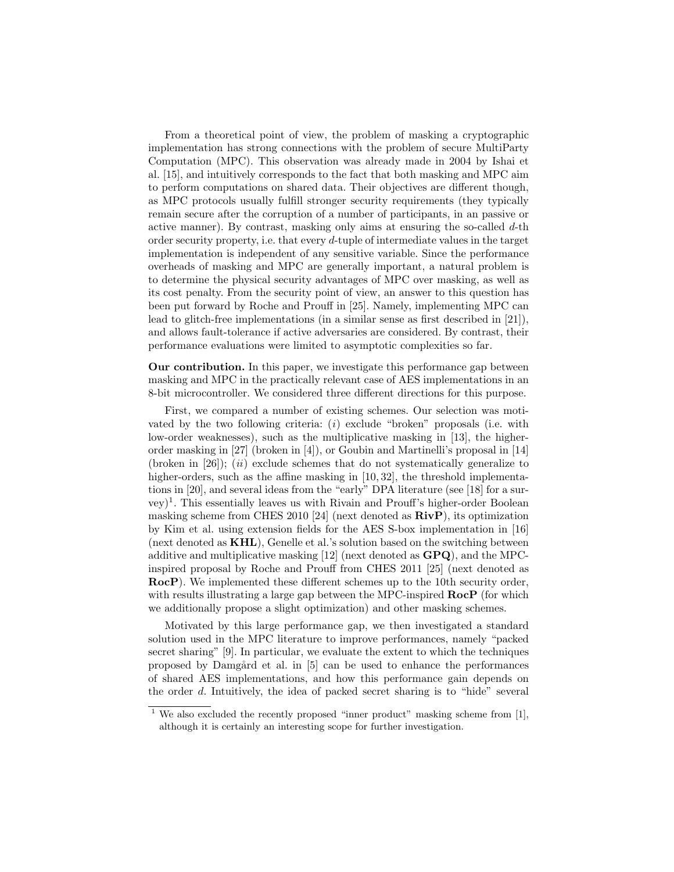From a theoretical point of view, the problem of masking a cryptographic implementation has strong connections with the problem of secure MultiParty Computation (MPC). This observation was already made in 2004 by Ishai et al. [15], and intuitively corresponds to the fact that both masking and MPC aim to perform computations on shared data. Their objectives are different though, as MPC protocols usually fulfill stronger security requirements (they typically remain secure after the corruption of a number of participants, in an passive or active manner). By contrast, masking only aims at ensuring the so-called  $d$ -th order security property, i.e. that every d-tuple of intermediate values in the target implementation is independent of any sensitive variable. Since the performance overheads of masking and MPC are generally important, a natural problem is to determine the physical security advantages of MPC over masking, as well as its cost penalty. From the security point of view, an answer to this question has been put forward by Roche and Prouff in [25]. Namely, implementing MPC can lead to glitch-free implementations (in a similar sense as first described in [21]), and allows fault-tolerance if active adversaries are considered. By contrast, their performance evaluations were limited to asymptotic complexities so far.

Our contribution. In this paper, we investigate this performance gap between masking and MPC in the practically relevant case of AES implementations in an 8-bit microcontroller. We considered three different directions for this purpose.

First, we compared a number of existing schemes. Our selection was motivated by the two following criteria:  $(i)$  exclude "broken" proposals (i.e. with low-order weaknesses), such as the multiplicative masking in [13], the higherorder masking in [27] (broken in [4]), or Goubin and Martinelli's proposal in [14] (broken in  $[26]$ ); (*ii*) exclude schemes that do not systematically generalize to higher-orders, such as the affine masking in [10, 32], the threshold implementations in [20], and several ideas from the "early" DPA literature (see [18] for a sur- $(vy)^1$ . This essentially leaves us with Rivain and Prouff's higher-order Boolean masking scheme from CHES 2010 [24] (next denoted as RivP), its optimization by Kim et al. using extension fields for the AES S-box implementation in [16] (next denoted as KHL), Genelle et al.'s solution based on the switching between additive and multiplicative masking [12] (next denoted as GPQ), and the MPCinspired proposal by Roche and Prouff from CHES 2011 [25] (next denoted as RocP). We implemented these different schemes up to the 10th security order, with results illustrating a large gap between the MPC-inspired **RocP** (for which we additionally propose a slight optimization) and other masking schemes.

Motivated by this large performance gap, we then investigated a standard solution used in the MPC literature to improve performances, namely "packed secret sharing" [9]. In particular, we evaluate the extent to which the techniques proposed by Damg˚ard et al. in [5] can be used to enhance the performances of shared AES implementations, and how this performance gain depends on the order d. Intuitively, the idea of packed secret sharing is to "hide" several

<sup>&</sup>lt;sup>1</sup> We also excluded the recently proposed "inner product" masking scheme from [1], although it is certainly an interesting scope for further investigation.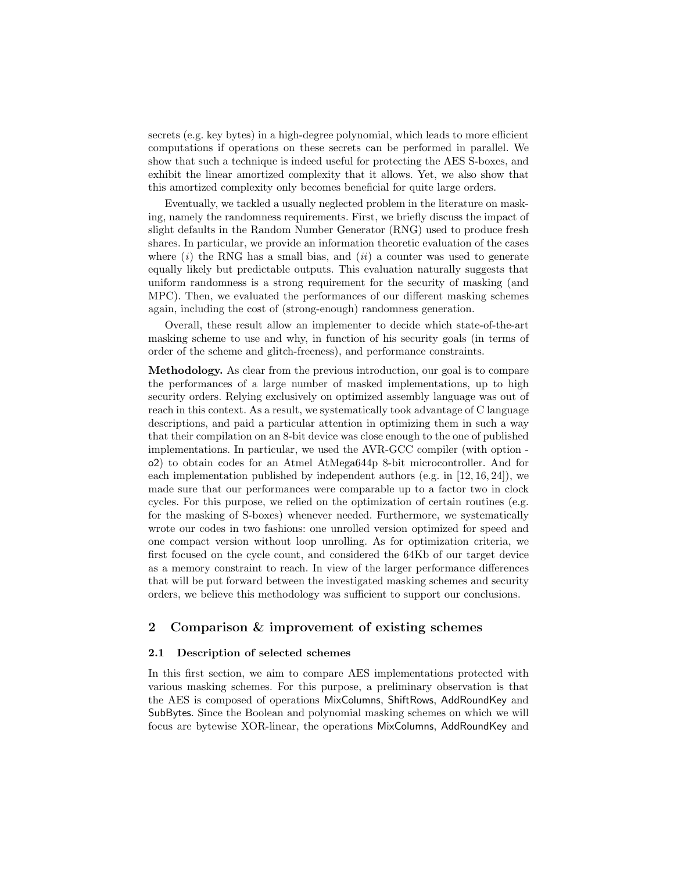secrets (e.g. key bytes) in a high-degree polynomial, which leads to more efficient computations if operations on these secrets can be performed in parallel. We show that such a technique is indeed useful for protecting the AES S-boxes, and exhibit the linear amortized complexity that it allows. Yet, we also show that this amortized complexity only becomes beneficial for quite large orders.

Eventually, we tackled a usually neglected problem in the literature on masking, namely the randomness requirements. First, we briefly discuss the impact of slight defaults in the Random Number Generator (RNG) used to produce fresh shares. In particular, we provide an information theoretic evaluation of the cases where  $(i)$  the RNG has a small bias, and  $(ii)$  a counter was used to generate equally likely but predictable outputs. This evaluation naturally suggests that uniform randomness is a strong requirement for the security of masking (and MPC). Then, we evaluated the performances of our different masking schemes again, including the cost of (strong-enough) randomness generation.

Overall, these result allow an implementer to decide which state-of-the-art masking scheme to use and why, in function of his security goals (in terms of order of the scheme and glitch-freeness), and performance constraints.

Methodology. As clear from the previous introduction, our goal is to compare the performances of a large number of masked implementations, up to high security orders. Relying exclusively on optimized assembly language was out of reach in this context. As a result, we systematically took advantage of C language descriptions, and paid a particular attention in optimizing them in such a way that their compilation on an 8-bit device was close enough to the one of published implementations. In particular, we used the AVR-GCC compiler (with option o2) to obtain codes for an Atmel AtMega644p 8-bit microcontroller. And for each implementation published by independent authors (e.g. in [12, 16, 24]), we made sure that our performances were comparable up to a factor two in clock cycles. For this purpose, we relied on the optimization of certain routines (e.g. for the masking of S-boxes) whenever needed. Furthermore, we systematically wrote our codes in two fashions: one unrolled version optimized for speed and one compact version without loop unrolling. As for optimization criteria, we first focused on the cycle count, and considered the 64Kb of our target device as a memory constraint to reach. In view of the larger performance differences that will be put forward between the investigated masking schemes and security orders, we believe this methodology was sufficient to support our conclusions.

# 2 Comparison & improvement of existing schemes

#### 2.1 Description of selected schemes

In this first section, we aim to compare AES implementations protected with various masking schemes. For this purpose, a preliminary observation is that the AES is composed of operations MixColumns, ShiftRows, AddRoundKey and SubBytes. Since the Boolean and polynomial masking schemes on which we will focus are bytewise XOR-linear, the operations MixColumns, AddRoundKey and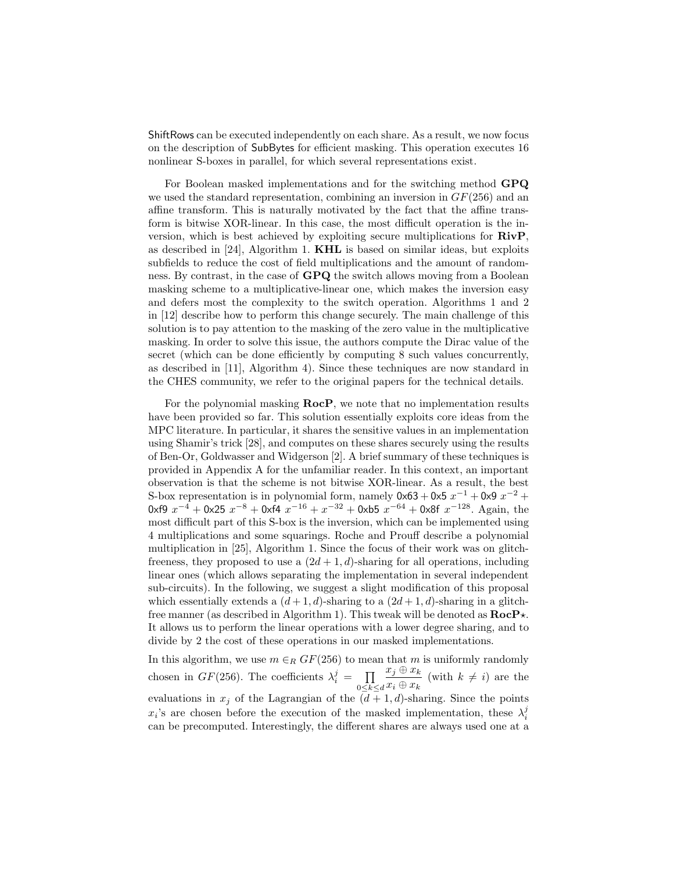ShiftRows can be executed independently on each share. As a result, we now focus on the description of SubBytes for efficient masking. This operation executes 16 nonlinear S-boxes in parallel, for which several representations exist.

For Boolean masked implementations and for the switching method GPQ we used the standard representation, combining an inversion in  $GF(256)$  and an affine transform. This is naturally motivated by the fact that the affine transform is bitwise XOR-linear. In this case, the most difficult operation is the inversion, which is best achieved by exploiting secure multiplications for RivP, as described in  $[24]$ , Algorithm 1. **KHL** is based on similar ideas, but exploits subfields to reduce the cost of field multiplications and the amount of randomness. By contrast, in the case of GPQ the switch allows moving from a Boolean masking scheme to a multiplicative-linear one, which makes the inversion easy and defers most the complexity to the switch operation. Algorithms 1 and 2 in [12] describe how to perform this change securely. The main challenge of this solution is to pay attention to the masking of the zero value in the multiplicative masking. In order to solve this issue, the authors compute the Dirac value of the secret (which can be done efficiently by computing 8 such values concurrently, as described in [11], Algorithm 4). Since these techniques are now standard in the CHES community, we refer to the original papers for the technical details.

For the polynomial masking  $RocP$ , we note that no implementation results have been provided so far. This solution essentially exploits core ideas from the MPC literature. In particular, it shares the sensitive values in an implementation using Shamir's trick [28], and computes on these shares securely using the results of Ben-Or, Goldwasser and Widgerson [2]. A brief summary of these techniques is provided in Appendix A for the unfamiliar reader. In this context, an important observation is that the scheme is not bitwise XOR-linear. As a result, the best S-box representation is in polynomial form, namely  $0 \times 63 + 0 \times 5 x^{-1} + 0 \times 9 x^{-2} +$ 0xf9  $x^{-4}$  + 0x25  $x^{-8}$  + 0xf4  $x^{-16}$  +  $x^{-32}$  + 0xb5  $x^{-64}$  + 0x8f  $x^{-128}$ . Again, the most difficult part of this S-box is the inversion, which can be implemented using 4 multiplications and some squarings. Roche and Prouff describe a polynomial multiplication in [25], Algorithm 1. Since the focus of their work was on glitchfreeness, they proposed to use a  $(2d + 1, d)$ -sharing for all operations, including linear ones (which allows separating the implementation in several independent sub-circuits). In the following, we suggest a slight modification of this proposal which essentially extends a  $(d+1, d)$ -sharing to a  $(2d+1, d)$ -sharing in a glitchfree manner (as described in Algorithm 1). This tweak will be denoted as  $\bf{RocP}\star$ . It allows us to perform the linear operations with a lower degree sharing, and to divide by 2 the cost of these operations in our masked implementations.

In this algorithm, we use  $m \in_R GF(256)$  to mean that m is uniformly randomly chosen in  $GF(256)$ . The coefficients  $\lambda_i^j = \prod$  $0 \leq k \leq d$  $x_j \oplus x_k$  $\frac{x_j \oplus x_k}{x_i \oplus x_k}$  (with  $k \neq i$ ) are the evaluations in  $x_j$  of the Lagrangian of the  $(\overline{d+1}, d)$ -sharing. Since the points  $x_i$ 's are chosen before the execution of the masked implementation, these  $\lambda_i^j$ can be precomputed. Interestingly, the different shares are always used one at a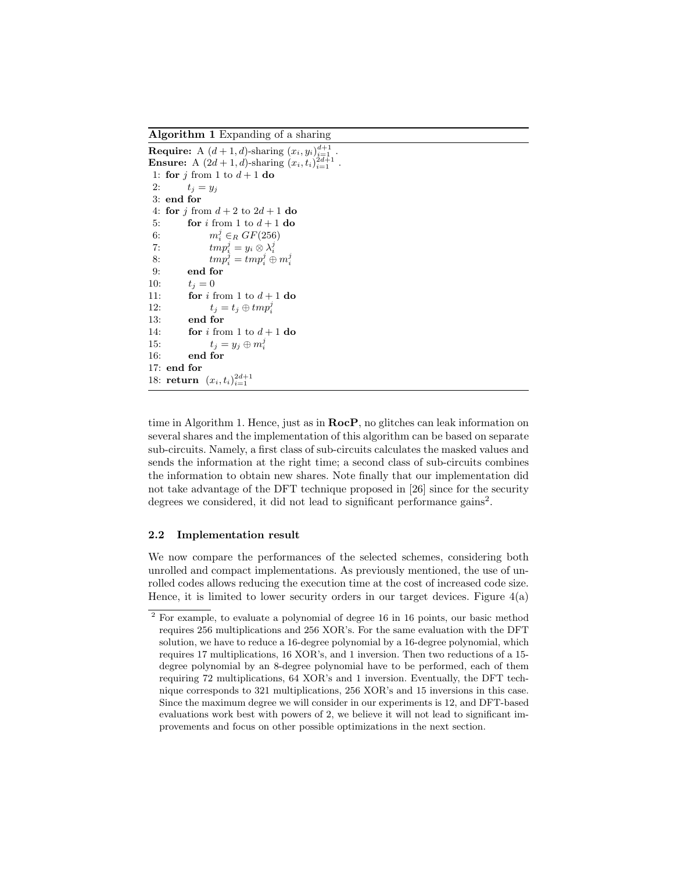Algorithm 1 Expanding of a sharing

```
Require: A (d+1, d)-sharing (x_i, y_i)_{i=1}^{d+1}.
Ensure: A (2d + 1, d)-sharing (x_i, t_i)_{i=1}^{2d+1}.
1: for j from 1 to d+1 do
2: t_j = y_j3: end for
4: for j from d+2 to 2d+1 do
5: for i from 1 to d+1 do
 6: m_i^j \in_R GF(256)7: tmp_i^j = y_i \otimes \lambda_i^j<br>8: tmp_i^j = tmp_i^j \oplus m_i^j9: end for
10: t_i = 011: for i from 1 to d+1 do
12: t_j = t_j \oplus tmp_i^j13: end for
14: for i from 1 to d+1 do
15: t_j = y_j \oplus m_i^j16: end for
17: end for
18: return (x_i, t_i)_{i=1}^{2d+1}
```
time in Algorithm 1. Hence, just as in RocP, no glitches can leak information on several shares and the implementation of this algorithm can be based on separate sub-circuits. Namely, a first class of sub-circuits calculates the masked values and sends the information at the right time; a second class of sub-circuits combines the information to obtain new shares. Note finally that our implementation did not take advantage of the DFT technique proposed in [26] since for the security degrees we considered, it did not lead to significant performance gains<sup>2</sup>.

#### 2.2 Implementation result

We now compare the performances of the selected schemes, considering both unrolled and compact implementations. As previously mentioned, the use of unrolled codes allows reducing the execution time at the cost of increased code size. Hence, it is limited to lower security orders in our target devices. Figure  $4(a)$ 

<sup>2</sup> For example, to evaluate a polynomial of degree 16 in 16 points, our basic method requires 256 multiplications and 256 XOR's. For the same evaluation with the DFT solution, we have to reduce a 16-degree polynomial by a 16-degree polynomial, which requires 17 multiplications, 16 XOR's, and 1 inversion. Then two reductions of a 15 degree polynomial by an 8-degree polynomial have to be performed, each of them requiring 72 multiplications, 64 XOR's and 1 inversion. Eventually, the DFT technique corresponds to 321 multiplications, 256 XOR's and 15 inversions in this case. Since the maximum degree we will consider in our experiments is 12, and DFT-based evaluations work best with powers of 2, we believe it will not lead to significant improvements and focus on other possible optimizations in the next section.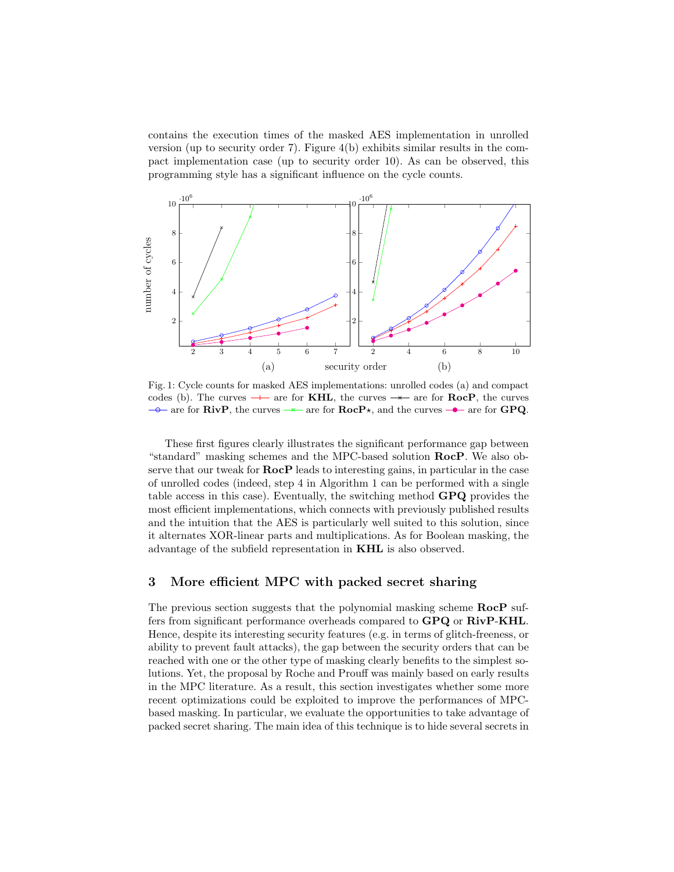contains the execution times of the masked AES implementation in unrolled version (up to security order 7). Figure 4(b) exhibits similar results in the compact implementation case (up to security order 10). As can be observed, this programming style has a significant influence on the cycle counts.



Fig. 1: Cycle counts for masked AES implementations: unrolled codes (a) and compact codes (b). The curves  $\rightarrow$  are for **KHL**, the curves  $\rightarrow$  are for **RocP**, the curves  $\rightarrow$  are for **RivP**, the curves  $\rightarrow$  are for **RocP** $\star$ , and the curves  $\rightarrow$  are for **GPQ**.

These first figures clearly illustrates the significant performance gap between "standard" masking schemes and the MPC-based solution RocP. We also observe that our tweak for RocP leads to interesting gains, in particular in the case of unrolled codes (indeed, step 4 in Algorithm 1 can be performed with a single table access in this case). Eventually, the switching method GPQ provides the most efficient implementations, which connects with previously published results and the intuition that the AES is particularly well suited to this solution, since it alternates XOR-linear parts and multiplications. As for Boolean masking, the advantage of the subfield representation in KHL is also observed.

# 3 More efficient MPC with packed secret sharing

The previous section suggests that the polynomial masking scheme **RocP** suffers from significant performance overheads compared to GPQ or RivP-KHL. Hence, despite its interesting security features (e.g. in terms of glitch-freeness, or ability to prevent fault attacks), the gap between the security orders that can be reached with one or the other type of masking clearly benefits to the simplest solutions. Yet, the proposal by Roche and Prouff was mainly based on early results in the MPC literature. As a result, this section investigates whether some more recent optimizations could be exploited to improve the performances of MPCbased masking. In particular, we evaluate the opportunities to take advantage of packed secret sharing. The main idea of this technique is to hide several secrets in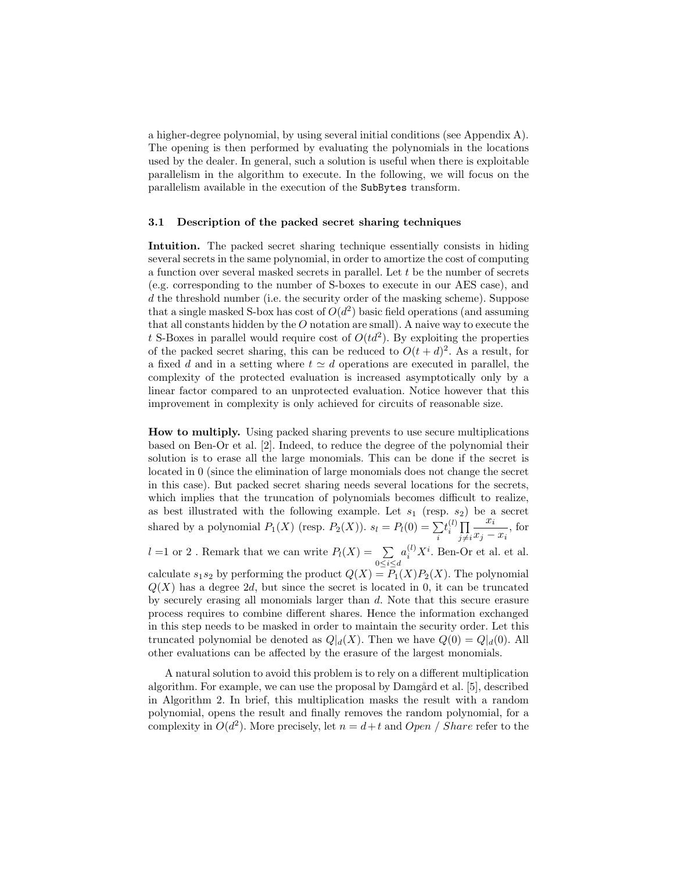a higher-degree polynomial, by using several initial conditions (see Appendix A). The opening is then performed by evaluating the polynomials in the locations used by the dealer. In general, such a solution is useful when there is exploitable parallelism in the algorithm to execute. In the following, we will focus on the parallelism available in the execution of the SubBytes transform.

#### 3.1 Description of the packed secret sharing techniques

Intuition. The packed secret sharing technique essentially consists in hiding several secrets in the same polynomial, in order to amortize the cost of computing a function over several masked secrets in parallel. Let  $t$  be the number of secrets (e.g. corresponding to the number of S-boxes to execute in our AES case), and d the threshold number (i.e. the security order of the masking scheme). Suppose that a single masked S-box has cost of  $O(d^2)$  basic field operations (and assuming that all constants hidden by the O notation are small). A naive way to execute the t S-Boxes in parallel would require cost of  $O(t d^2)$ . By exploiting the properties of the packed secret sharing, this can be reduced to  $O(t+d)^2$ . As a result, for a fixed d and in a setting where  $t \simeq d$  operations are executed in parallel, the complexity of the protected evaluation is increased asymptotically only by a linear factor compared to an unprotected evaluation. Notice however that this improvement in complexity is only achieved for circuits of reasonable size.

How to multiply. Using packed sharing prevents to use secure multiplications based on Ben-Or et al. [2]. Indeed, to reduce the degree of the polynomial their solution is to erase all the large monomials. This can be done if the secret is located in 0 (since the elimination of large monomials does not change the secret in this case). But packed secret sharing needs several locations for the secrets, which implies that the truncation of polynomials becomes difficult to realize, as best illustrated with the following example. Let  $s_1$  (resp.  $s_2$ ) be a secret shared by a polynomial  $P_1(X)$  (resp.  $P_2(X)$ ).  $s_l = P_l(0) = \sum_i$  $t_i^{(l)}\prod$  $j\neq i$  $\bar{x_i}$  $\frac{x_i}{x_j - x_i}$ , for  $l = 1$  or 2. Remark that we can write  $P_l(X) = \sum_{0 \le i \le d}$  $a_i^{(l)}X^i$ . Ben-Or et al. et al. calculate  $s_1s_2$  by performing the product  $Q(X) = P_1(X)P_2(X)$ . The polynomial  $Q(X)$  has a degree 2d, but since the secret is located in 0, it can be truncated by securely erasing all monomials larger than d. Note that this secure erasure process requires to combine different shares. Hence the information exchanged in this step needs to be masked in order to maintain the security order. Let this truncated polynomial be denoted as  $Q|_d(X)$ . Then we have  $Q(0) = Q|_d(0)$ . All other evaluations can be affected by the erasure of the largest monomials.

A natural solution to avoid this problem is to rely on a different multiplication algorithm. For example, we can use the proposal by Damgård et al. [5], described in Algorithm 2. In brief, this multiplication masks the result with a random polynomial, opens the result and finally removes the random polynomial, for a complexity in  $O(d^2)$ . More precisely, let  $n = d+t$  and  $Open / Share$  refer to the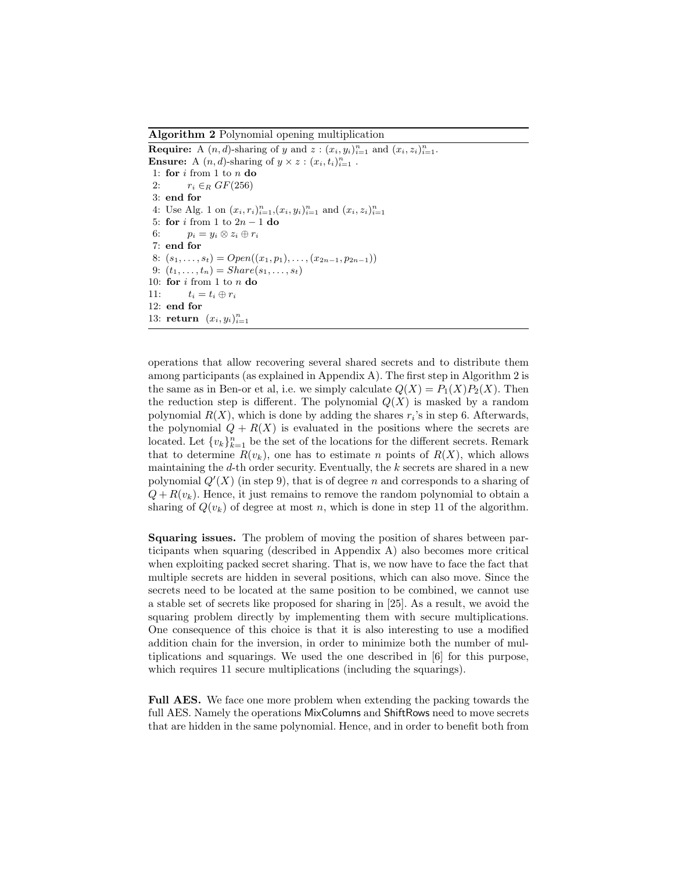Algorithm 2 Polynomial opening multiplication

**Require:** A  $(n, d)$ -sharing of y and  $z : (x_i, y_i)_{i=1}^n$  and  $(x_i, z_i)_{i=1}^n$ . **Ensure:** A  $(n, d)$ -sharing of  $y \times z : (x_i, t_i)_{i=1}^n$ . 1: for  $i$  from 1 to  $n$  do 2:  $r_i \in_R GF(256)$ 3: end for 4: Use Alg. 1 on  $(x_i, r_i)_{i=1}^n, (x_i, y_i)_{i=1}^n$  and  $(x_i, z_i)_{i=1}^n$ 5: for  $i$  from 1 to  $2n - 1$  do 6:  $p_i = y_i \otimes z_i \oplus r_i$ 7: end for 8:  $(s_1, \ldots, s_t) = Open((x_1, p_1), \ldots, (x_{2n-1}, p_{2n-1}))$ 9:  $(t_1, \ldots, t_n) = Share(s_1, \ldots, s_t)$ 10: for  $i$  from 1 to  $n$  do 11:  $t_i = t_i \oplus r_i$ 12: end for 13: **return**  $(x_i, y_i)_{i=1}^n$ 

operations that allow recovering several shared secrets and to distribute them among participants (as explained in Appendix A). The first step in Algorithm 2 is the same as in Ben-or et al, i.e. we simply calculate  $Q(X) = P_1(X)P_2(X)$ . Then the reduction step is different. The polynomial  $Q(X)$  is masked by a random polynomial  $R(X)$ , which is done by adding the shares  $r_i$ 's in step 6. Afterwards, the polynomial  $Q + R(X)$  is evaluated in the positions where the secrets are located. Let  $\{v_k\}_{k=1}^n$  be the set of the locations for the different secrets. Remark that to determine  $R(v_k)$ , one has to estimate n points of  $R(X)$ , which allows maintaining the  $d$ -th order security. Eventually, the  $k$  secrets are shared in a new polynomial  $Q'(X)$  (in step 9), that is of degree n and corresponds to a sharing of  $Q + R(v_k)$ . Hence, it just remains to remove the random polynomial to obtain a sharing of  $Q(v_k)$  of degree at most n, which is done in step 11 of the algorithm.

Squaring issues. The problem of moving the position of shares between participants when squaring (described in Appendix A) also becomes more critical when exploiting packed secret sharing. That is, we now have to face the fact that multiple secrets are hidden in several positions, which can also move. Since the secrets need to be located at the same position to be combined, we cannot use a stable set of secrets like proposed for sharing in [25]. As a result, we avoid the squaring problem directly by implementing them with secure multiplications. One consequence of this choice is that it is also interesting to use a modified addition chain for the inversion, in order to minimize both the number of multiplications and squarings. We used the one described in [6] for this purpose, which requires 11 secure multiplications (including the squarings).

Full AES. We face one more problem when extending the packing towards the full AES. Namely the operations MixColumns and ShiftRows need to move secrets that are hidden in the same polynomial. Hence, and in order to benefit both from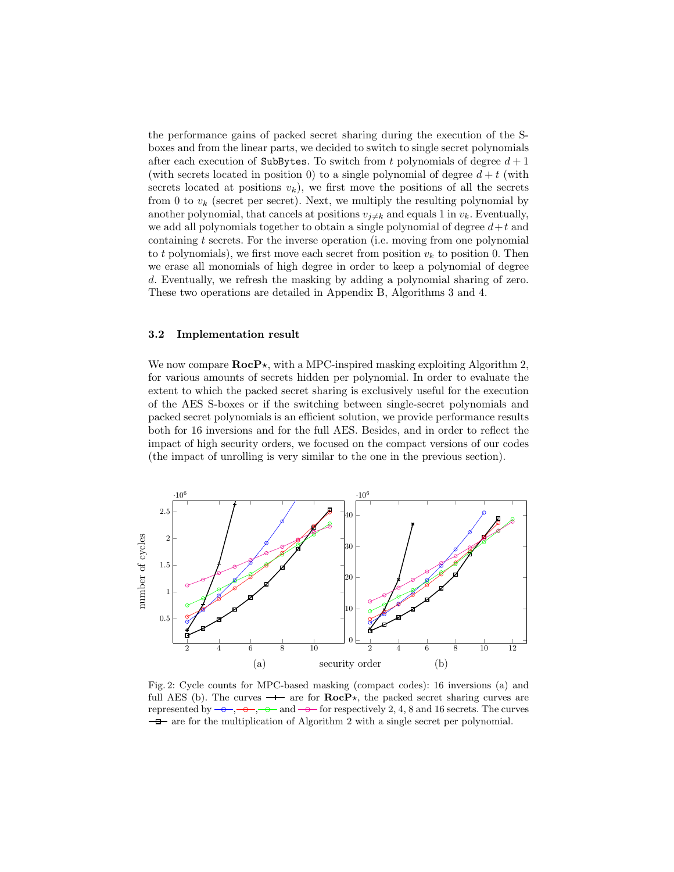the performance gains of packed secret sharing during the execution of the Sboxes and from the linear parts, we decided to switch to single secret polynomials after each execution of SubBytes. To switch from t polynomials of degree  $d+1$ (with secrets located in position 0) to a single polynomial of degree  $d + t$  (with secrets located at positions  $v_k$ ), we first move the positions of all the secrets from 0 to  $v_k$  (secret per secret). Next, we multiply the resulting polynomial by another polynomial, that cancels at positions  $v_{i\neq k}$  and equals 1 in  $v_k$ . Eventually, we add all polynomials together to obtain a single polynomial of degree  $d+t$  and containing  $t$  secrets. For the inverse operation (i.e. moving from one polynomial to t polynomials), we first move each secret from position  $v_k$  to position 0. Then we erase all monomials of high degree in order to keep a polynomial of degree d. Eventually, we refresh the masking by adding a polynomial sharing of zero. These two operations are detailed in Appendix B, Algorithms 3 and 4.

#### 3.2 Implementation result

We now compare  $\mathbf{RocP}$ <sup>\*</sup>, with a MPC-inspired masking exploiting Algorithm 2. for various amounts of secrets hidden per polynomial. In order to evaluate the extent to which the packed secret sharing is exclusively useful for the execution of the AES S-boxes or if the switching between single-secret polynomials and packed secret polynomials is an efficient solution, we provide performance results both for 16 inversions and for the full AES. Besides, and in order to reflect the impact of high security orders, we focused on the compact versions of our codes (the impact of unrolling is very similar to the one in the previous section).



Fig. 2: Cycle counts for MPC-based masking (compact codes): 16 inversions (a) and full AES (b). The curves  $\rightarrow$  are for **RocP**\*, the packed secret sharing curves are represented by  $\rightarrow -$ ,  $\rightarrow -$ , and  $\rightarrow$  for respectively 2, 4, 8 and 16 secrets. The curves  $-\blacksquare-$  are for the multiplication of Algorithm 2 with a single secret per polynomial.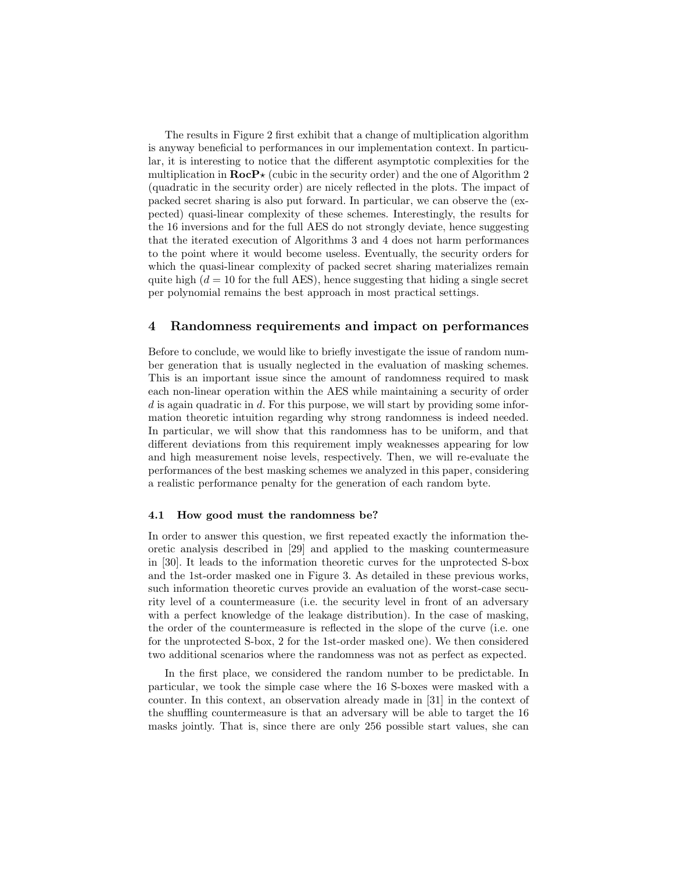The results in Figure 2 first exhibit that a change of multiplication algorithm is anyway beneficial to performances in our implementation context. In particular, it is interesting to notice that the different asymptotic complexities for the multiplication in  $\text{RocP} \star$  (cubic in the security order) and the one of Algorithm 2 (quadratic in the security order) are nicely reflected in the plots. The impact of packed secret sharing is also put forward. In particular, we can observe the (expected) quasi-linear complexity of these schemes. Interestingly, the results for the 16 inversions and for the full AES do not strongly deviate, hence suggesting that the iterated execution of Algorithms 3 and 4 does not harm performances to the point where it would become useless. Eventually, the security orders for which the quasi-linear complexity of packed secret sharing materializes remain quite high  $(d = 10$  for the full AES), hence suggesting that hiding a single secret per polynomial remains the best approach in most practical settings.

# 4 Randomness requirements and impact on performances

Before to conclude, we would like to briefly investigate the issue of random number generation that is usually neglected in the evaluation of masking schemes. This is an important issue since the amount of randomness required to mask each non-linear operation within the AES while maintaining a security of order  $d$  is again quadratic in  $d$ . For this purpose, we will start by providing some information theoretic intuition regarding why strong randomness is indeed needed. In particular, we will show that this randomness has to be uniform, and that different deviations from this requirement imply weaknesses appearing for low and high measurement noise levels, respectively. Then, we will re-evaluate the performances of the best masking schemes we analyzed in this paper, considering a realistic performance penalty for the generation of each random byte.

#### 4.1 How good must the randomness be?

In order to answer this question, we first repeated exactly the information theoretic analysis described in [29] and applied to the masking countermeasure in [30]. It leads to the information theoretic curves for the unprotected S-box and the 1st-order masked one in Figure 3. As detailed in these previous works, such information theoretic curves provide an evaluation of the worst-case security level of a countermeasure (i.e. the security level in front of an adversary with a perfect knowledge of the leakage distribution). In the case of masking, the order of the countermeasure is reflected in the slope of the curve (i.e. one for the unprotected S-box, 2 for the 1st-order masked one). We then considered two additional scenarios where the randomness was not as perfect as expected.

In the first place, we considered the random number to be predictable. In particular, we took the simple case where the 16 S-boxes were masked with a counter. In this context, an observation already made in [31] in the context of the shuffling countermeasure is that an adversary will be able to target the 16 masks jointly. That is, since there are only 256 possible start values, she can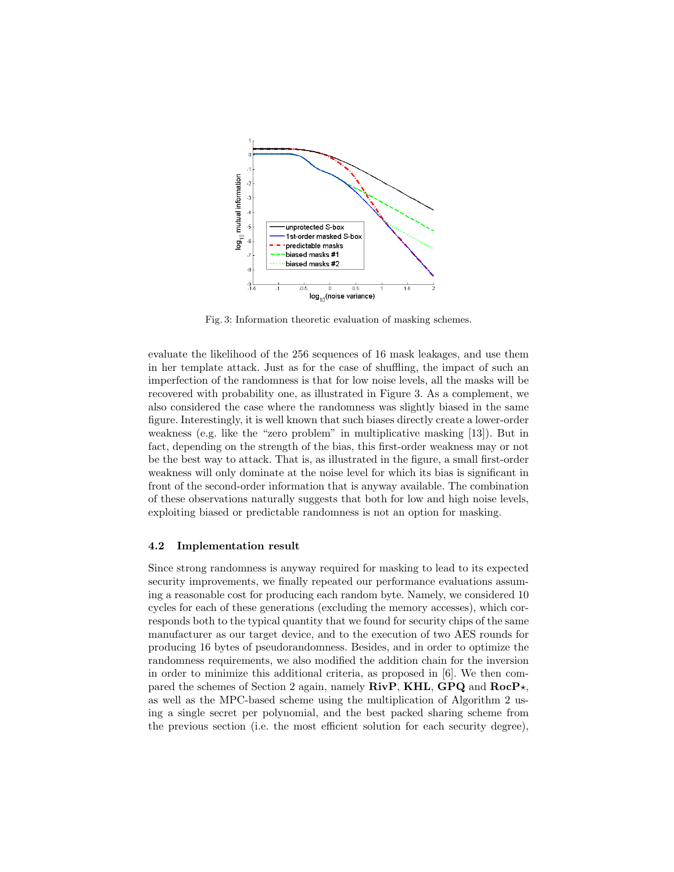

Fig. 3: Information theoretic evaluation of masking schemes.

evaluate the likelihood of the 256 sequences of 16 mask leakages, and use them in her template attack. Just as for the case of shuffling, the impact of such an imperfection of the randomness is that for low noise levels, all the masks will be recovered with probability one, as illustrated in Figure 3. As a complement, we also considered the case where the randomness was slightly biased in the same figure. Interestingly, it is well known that such biases directly create a lower-order weakness (e.g. like the "zero problem" in multiplicative masking [13]). But in fact, depending on the strength of the bias, this first-order weakness may or not be the best way to attack. That is, as illustrated in the figure, a small first-order weakness will only dominate at the noise level for which its bias is significant in front of the second-order information that is anyway available. The combination of these observations naturally suggests that both for low and high noise levels, exploiting biased or predictable randomness is not an option for masking.

#### 4.2 Implementation result

Since strong randomness is anyway required for masking to lead to its expected security improvements, we finally repeated our performance evaluations assuming a reasonable cost for producing each random byte. Namely, we considered 10 cycles for each of these generations (excluding the memory accesses), which corresponds both to the typical quantity that we found for security chips of the same manufacturer as our target device, and to the execution of two AES rounds for producing 16 bytes of pseudorandomness. Besides, and in order to optimize the randomness requirements, we also modified the addition chain for the inversion in order to minimize this additional criteria, as proposed in [6]. We then compared the schemes of Section 2 again, namely  $RivP$ , KHL, GPQ and  $RocP<sub>\star</sub>$ , as well as the MPC-based scheme using the multiplication of Algorithm 2 using a single secret per polynomial, and the best packed sharing scheme from the previous section (i.e. the most efficient solution for each security degree),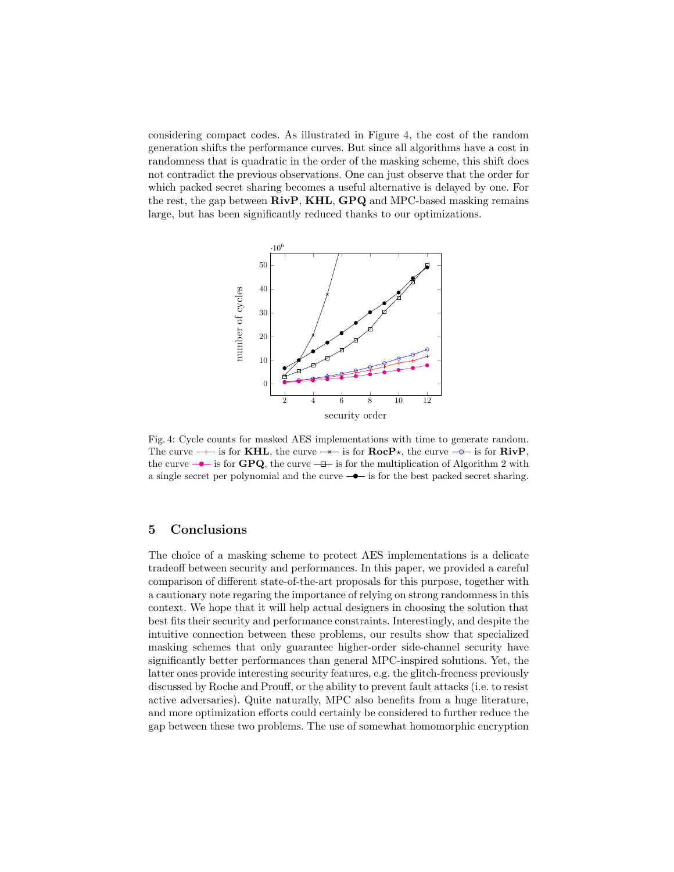considering compact codes. As illustrated in Figure 4, the cost of the random generation shifts the performance curves. But since all algorithms have a cost in randomness that is quadratic in the order of the masking scheme, this shift does not contradict the previous observations. One can just observe that the order for which packed secret sharing becomes a useful alternative is delayed by one. For the rest, the gap between RivP, KHL, GPQ and MPC-based masking remains large, but has been significantly reduced thanks to our optimizations.



Fig. 4: Cycle counts for masked AES implementations with time to generate random. The curve  $\rightarrow$  is for **KHL**, the curve  $\rightarrow$  is for **RocP** $\star$ , the curve  $\rightarrow$  is for **RivP**, the curve  $\rightarrow$  is for GPQ, the curve  $\rightarrow$  is for the multiplication of Algorithm 2 with a single secret per polynomial and the curve  $\rightarrow$  is for the best packed secret sharing.

# 5 Conclusions

The choice of a masking scheme to protect AES implementations is a delicate tradeoff between security and performances. In this paper, we provided a careful comparison of different state-of-the-art proposals for this purpose, together with a cautionary note regaring the importance of relying on strong randomness in this context. We hope that it will help actual designers in choosing the solution that best fits their security and performance constraints. Interestingly, and despite the intuitive connection between these problems, our results show that specialized masking schemes that only guarantee higher-order side-channel security have significantly better performances than general MPC-inspired solutions. Yet, the latter ones provide interesting security features, e.g. the glitch-freeness previously discussed by Roche and Prouff, or the ability to prevent fault attacks (i.e. to resist active adversaries). Quite naturally, MPC also benefits from a huge literature, and more optimization efforts could certainly be considered to further reduce the gap between these two problems. The use of somewhat homomorphic encryption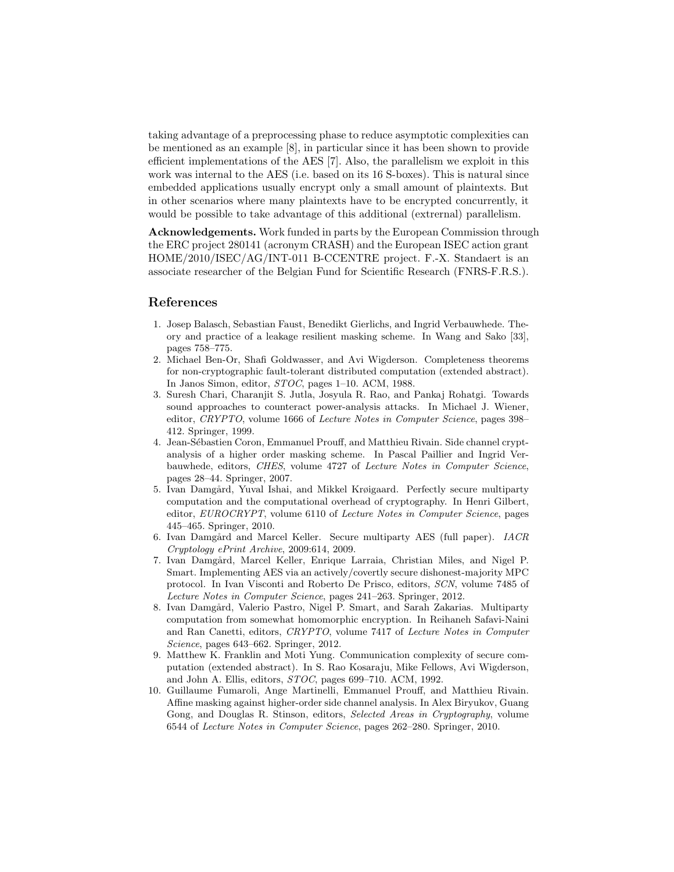taking advantage of a preprocessing phase to reduce asymptotic complexities can be mentioned as an example [8], in particular since it has been shown to provide efficient implementations of the AES [7]. Also, the parallelism we exploit in this work was internal to the AES (i.e. based on its 16 S-boxes). This is natural since embedded applications usually encrypt only a small amount of plaintexts. But in other scenarios where many plaintexts have to be encrypted concurrently, it would be possible to take advantage of this additional (extrernal) parallelism.

Acknowledgements. Work funded in parts by the European Commission through the ERC project 280141 (acronym CRASH) and the European ISEC action grant HOME/2010/ISEC/AG/INT-011 B-CCENTRE project. F.-X. Standaert is an associate researcher of the Belgian Fund for Scientific Research (FNRS-F.R.S.).

# References

- 1. Josep Balasch, Sebastian Faust, Benedikt Gierlichs, and Ingrid Verbauwhede. Theory and practice of a leakage resilient masking scheme. In Wang and Sako [33], pages 758–775.
- 2. Michael Ben-Or, Shafi Goldwasser, and Avi Wigderson. Completeness theorems for non-cryptographic fault-tolerant distributed computation (extended abstract). In Janos Simon, editor, STOC, pages 1–10. ACM, 1988.
- 3. Suresh Chari, Charanjit S. Jutla, Josyula R. Rao, and Pankaj Rohatgi. Towards sound approaches to counteract power-analysis attacks. In Michael J. Wiener, editor, CRYPTO, volume 1666 of Lecture Notes in Computer Science, pages 398– 412. Springer, 1999.
- 4. Jean-Sébastien Coron, Emmanuel Prouff, and Matthieu Rivain. Side channel cryptanalysis of a higher order masking scheme. In Pascal Paillier and Ingrid Verbauwhede, editors, CHES, volume 4727 of Lecture Notes in Computer Science, pages 28–44. Springer, 2007.
- 5. Ivan Damgård, Yuval Ishai, and Mikkel Krøigaard. Perfectly secure multiparty computation and the computational overhead of cryptography. In Henri Gilbert, editor, EUROCRYPT, volume 6110 of Lecture Notes in Computer Science, pages 445–465. Springer, 2010.
- 6. Ivan Damgård and Marcel Keller. Secure multiparty AES (full paper). IACR Cryptology ePrint Archive, 2009:614, 2009.
- 7. Ivan Damgård, Marcel Keller, Enrique Larraia, Christian Miles, and Nigel P. Smart. Implementing AES via an actively/covertly secure dishonest-majority MPC protocol. In Ivan Visconti and Roberto De Prisco, editors, SCN, volume 7485 of Lecture Notes in Computer Science, pages 241–263. Springer, 2012.
- 8. Ivan Damgård, Valerio Pastro, Nigel P. Smart, and Sarah Zakarias. Multiparty computation from somewhat homomorphic encryption. In Reihaneh Safavi-Naini and Ran Canetti, editors, CRYPTO, volume 7417 of Lecture Notes in Computer Science, pages 643–662. Springer, 2012.
- 9. Matthew K. Franklin and Moti Yung. Communication complexity of secure computation (extended abstract). In S. Rao Kosaraju, Mike Fellows, Avi Wigderson, and John A. Ellis, editors, STOC, pages 699–710. ACM, 1992.
- 10. Guillaume Fumaroli, Ange Martinelli, Emmanuel Prouff, and Matthieu Rivain. Affine masking against higher-order side channel analysis. In Alex Biryukov, Guang Gong, and Douglas R. Stinson, editors, Selected Areas in Cryptography, volume 6544 of Lecture Notes in Computer Science, pages 262–280. Springer, 2010.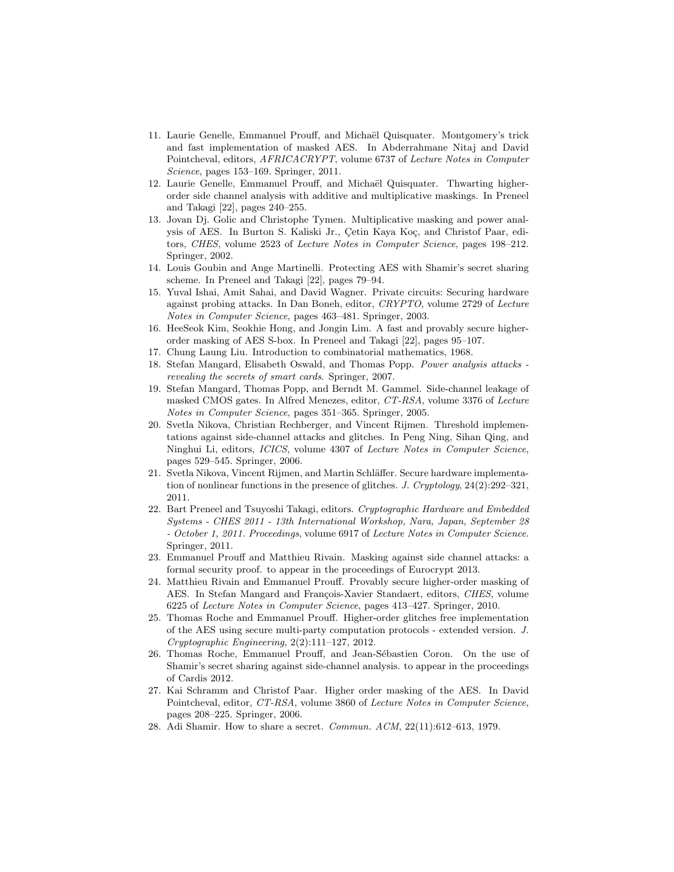- 11. Laurie Genelle, Emmanuel Prouff, and Michaël Quisquater. Montgomery's trick and fast implementation of masked AES. In Abderrahmane Nitaj and David Pointcheval, editors, AFRICACRYPT, volume 6737 of Lecture Notes in Computer Science, pages 153–169. Springer, 2011.
- 12. Laurie Genelle, Emmanuel Prouff, and Michaël Quisquater. Thwarting higherorder side channel analysis with additive and multiplicative maskings. In Preneel and Takagi [22], pages 240–255.
- 13. Jovan Dj. Golic and Christophe Tymen. Multiplicative masking and power analysis of AES. In Burton S. Kaliski Jr., Çetin Kaya Koç, and Christof Paar, editors, CHES, volume 2523 of Lecture Notes in Computer Science, pages 198–212. Springer, 2002.
- 14. Louis Goubin and Ange Martinelli. Protecting AES with Shamir's secret sharing scheme. In Preneel and Takagi [22], pages 79–94.
- 15. Yuval Ishai, Amit Sahai, and David Wagner. Private circuits: Securing hardware against probing attacks. In Dan Boneh, editor, CRYPTO, volume 2729 of Lecture Notes in Computer Science, pages 463–481. Springer, 2003.
- 16. HeeSeok Kim, Seokhie Hong, and Jongin Lim. A fast and provably secure higherorder masking of AES S-box. In Preneel and Takagi [22], pages 95–107.
- 17. Chung Laung Liu. Introduction to combinatorial mathematics, 1968.
- 18. Stefan Mangard, Elisabeth Oswald, and Thomas Popp. Power analysis attacks revealing the secrets of smart cards. Springer, 2007.
- 19. Stefan Mangard, Thomas Popp, and Berndt M. Gammel. Side-channel leakage of masked CMOS gates. In Alfred Menezes, editor, CT-RSA, volume 3376 of Lecture Notes in Computer Science, pages 351–365. Springer, 2005.
- 20. Svetla Nikova, Christian Rechberger, and Vincent Rijmen. Threshold implementations against side-channel attacks and glitches. In Peng Ning, Sihan Qing, and Ninghui Li, editors, ICICS, volume 4307 of Lecture Notes in Computer Science, pages 529–545. Springer, 2006.
- 21. Svetla Nikova, Vincent Rijmen, and Martin Schläffer. Secure hardware implementation of nonlinear functions in the presence of glitches. J. Cryptology, 24(2):292–321, 2011.
- 22. Bart Preneel and Tsuyoshi Takagi, editors. Cryptographic Hardware and Embedded Systems - CHES 2011 - 13th International Workshop, Nara, Japan, September 28 - October 1, 2011. Proceedings, volume 6917 of Lecture Notes in Computer Science. Springer, 2011.
- 23. Emmanuel Prouff and Matthieu Rivain. Masking against side channel attacks: a formal security proof. to appear in the proceedings of Eurocrypt 2013.
- 24. Matthieu Rivain and Emmanuel Prouff. Provably secure higher-order masking of AES. In Stefan Mangard and François-Xavier Standaert, editors, CHES, volume 6225 of Lecture Notes in Computer Science, pages 413–427. Springer, 2010.
- 25. Thomas Roche and Emmanuel Prouff. Higher-order glitches free implementation of the AES using secure multi-party computation protocols - extended version. J. Cryptographic Engineering, 2(2):111–127, 2012.
- 26. Thomas Roche, Emmanuel Prouff, and Jean-Sébastien Coron. On the use of Shamir's secret sharing against side-channel analysis. to appear in the proceedings of Cardis 2012.
- 27. Kai Schramm and Christof Paar. Higher order masking of the AES. In David Pointcheval, editor, CT-RSA, volume 3860 of Lecture Notes in Computer Science, pages 208–225. Springer, 2006.
- 28. Adi Shamir. How to share a secret. Commun. ACM, 22(11):612–613, 1979.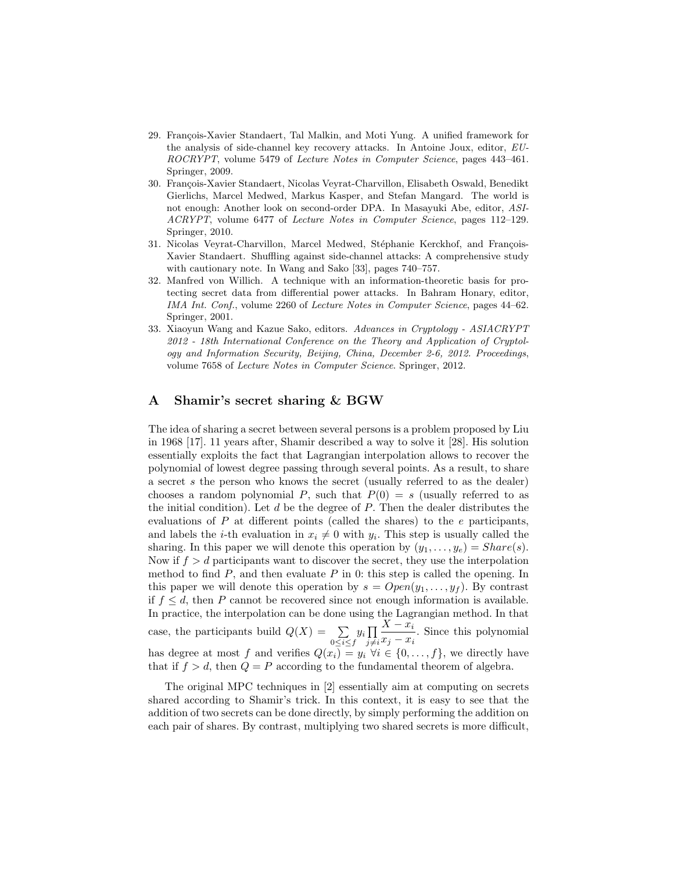- 29. François-Xavier Standaert, Tal Malkin, and Moti Yung. A unified framework for the analysis of side-channel key recovery attacks. In Antoine Joux, editor, EU-ROCRYPT, volume 5479 of Lecture Notes in Computer Science, pages 443–461. Springer, 2009.
- 30. François-Xavier Standaert, Nicolas Veyrat-Charvillon, Elisabeth Oswald, Benedikt Gierlichs, Marcel Medwed, Markus Kasper, and Stefan Mangard. The world is not enough: Another look on second-order DPA. In Masayuki Abe, editor, ASI-ACRYPT, volume 6477 of Lecture Notes in Computer Science, pages 112–129. Springer, 2010.
- 31. Nicolas Veyrat-Charvillon, Marcel Medwed, Stéphanie Kerckhof, and François-Xavier Standaert. Shuffling against side-channel attacks: A comprehensive study with cautionary note. In Wang and Sako [33], pages 740–757.
- 32. Manfred von Willich. A technique with an information-theoretic basis for protecting secret data from differential power attacks. In Bahram Honary, editor, IMA Int. Conf., volume 2260 of Lecture Notes in Computer Science, pages 44–62. Springer, 2001.
- 33. Xiaoyun Wang and Kazue Sako, editors. Advances in Cryptology ASIACRYPT 2012 - 18th International Conference on the Theory and Application of Cryptology and Information Security, Beijing, China, December 2-6, 2012. Proceedings, volume 7658 of Lecture Notes in Computer Science. Springer, 2012.

# A Shamir's secret sharing & BGW

The idea of sharing a secret between several persons is a problem proposed by Liu in 1968 [17]. 11 years after, Shamir described a way to solve it [28]. His solution essentially exploits the fact that Lagrangian interpolation allows to recover the polynomial of lowest degree passing through several points. As a result, to share a secret s the person who knows the secret (usually referred to as the dealer) chooses a random polynomial P, such that  $P(0) = s$  (usually referred to as the initial condition). Let  $d$  be the degree of  $P$ . Then the dealer distributes the evaluations of  $P$  at different points (called the shares) to the  $e$  participants, and labels the *i*-th evaluation in  $x_i \neq 0$  with  $y_i$ . This step is usually called the sharing. In this paper we will denote this operation by  $(y_1, \ldots, y_e) = Share(s)$ . Now if  $f > d$  participants want to discover the secret, they use the interpolation method to find  $P$ , and then evaluate  $P$  in 0: this step is called the opening. In this paper we will denote this operation by  $s = Open(y_1, \ldots, y_f)$ . By contrast if  $f \leq d$ , then P cannot be recovered since not enough information is available. In practice, the interpolation can be done using the Lagrangian method. In that case, the participants build  $Q(X) = \sum$  $\sum_{0\leq i\leq f}y_i\prod_{j\neq i}$  $j\neq i$  $X - \tilde{x_i}$  $\frac{x_i - x_i}{x_j - x_i}$ . Since this polynomial has degree at most f and verifies  $Q(x_i) = y_i \ \forall i \in \{0, ..., f\}$ , we directly have that if  $f > d$ , then  $Q = P$  according to the fundamental theorem of algebra.

The original MPC techniques in [2] essentially aim at computing on secrets shared according to Shamir's trick. In this context, it is easy to see that the addition of two secrets can be done directly, by simply performing the addition on each pair of shares. By contrast, multiplying two shared secrets is more difficult,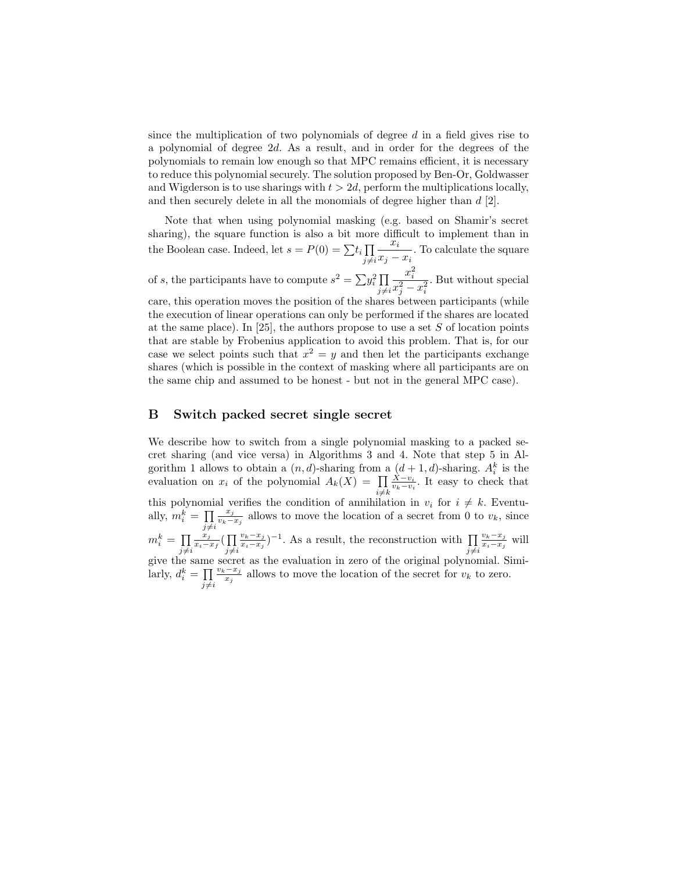since the multiplication of two polynomials of degree  $d$  in a field gives rise to a polynomial of degree 2d. As a result, and in order for the degrees of the polynomials to remain low enough so that MPC remains efficient, it is necessary to reduce this polynomial securely. The solution proposed by Ben-Or, Goldwasser and Wigderson is to use sharings with  $t > 2d$ , perform the multiplications locally, and then securely delete in all the monomials of degree higher than  $d \nvert 2$ .

Note that when using polynomial masking (e.g. based on Shamir's secret sharing), the square function is also a bit more difficult to implement than in the Boolean case. Indeed, let  $s = P(0) = \sum t_i \prod$  $j\neq i$  $\bar{x}_i$  $\frac{d}{x_j - x_i}$ . To calculate the square of s, the participants have to compute  $s^2 = \sum y_i^2 \prod$  $x_i^2$  $x_j^2 - x_i^2$ . But without special

 $j\neq i$ care, this operation moves the position of the shares between participants (while the execution of linear operations can only be performed if the shares are located at the same place). In  $[25]$ , the authors propose to use a set S of location points that are stable by Frobenius application to avoid this problem. That is, for our case we select points such that  $x^2 = y$  and then let the participants exchange shares (which is possible in the context of masking where all participants are on the same chip and assumed to be honest - but not in the general MPC case).

#### B Switch packed secret single secret

We describe how to switch from a single polynomial masking to a packed secret sharing (and vice versa) in Algorithms 3 and 4. Note that step 5 in Algorithm 1 allows to obtain a  $(n, d)$ -sharing from a  $(d + 1, d)$ -sharing.  $A_i^k$  is the evaluation on  $x_i$  of the polynomial  $A_k(X) = \prod_{i \neq k}$  $\frac{X-v_i}{v_k-v_i}$ . It easy to check that this polynomial verifies the condition of annihilation in  $v_i$  for  $i \neq k$ . Eventually,  $m_i^k = \prod$  $j\neq i$  $x_j$  $\frac{x_j}{v_k-x_j}$  allows to move the location of a secret from 0 to  $v_k$ , since  $m_i^k = \prod$  $j\neq i$  $x_j$  $\frac{x_j}{x_i-x_f}(\prod$  $j\neq i$  $v_k-x_j$  $\frac{v_k - x_j}{x_i - x_j}$  –1. As a result, the reconstruction with  $\prod_k$  $j\neq i$  $v_k-x_j$  $\frac{v_k-x_j}{x_i-x_j}$  will give the same secret as the evaluation in zero of the original polynomial. Similarly,  $d_i^k = \prod$  $j\neq i$  $v_k-x_j$  $\frac{x_i - x_j}{x_j}$  allows to move the location of the secret for  $v_k$  to zero.